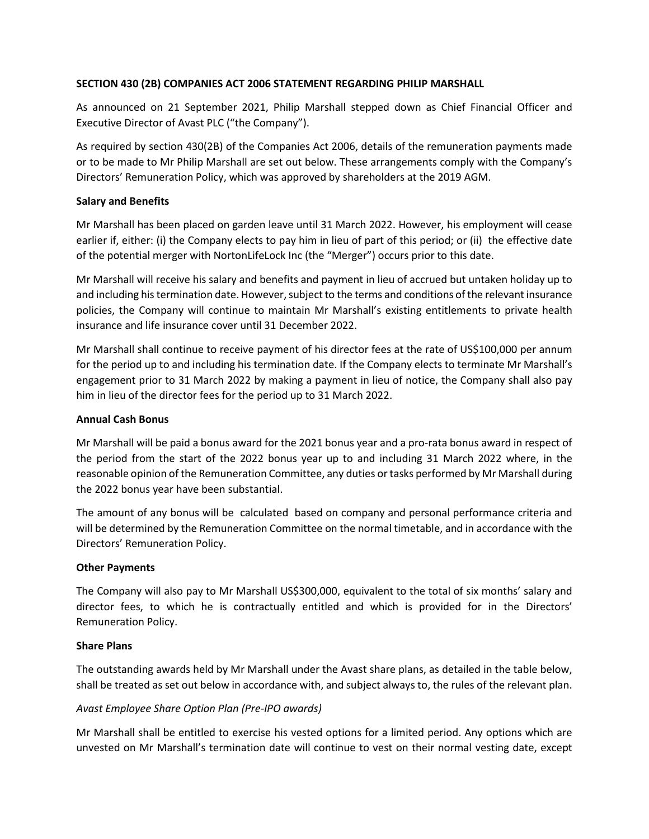# **SECTION 430 (2B) COMPANIES ACT 2006 STATEMENT REGARDING PHILIP MARSHALL**

As announced on 21 September 2021, Philip Marshall stepped down as Chief Financial Officer and Executive Director of Avast PLC ("the Company").

As required by section 430(2B) of the Companies Act 2006, details of the remuneration payments made or to be made to Mr Philip Marshall are set out below. These arrangements comply with the Company's Directors' Remuneration Policy, which was approved by shareholders at the 2019 AGM.

# **Salary and Benefits**

Mr Marshall has been placed on garden leave until 31 March 2022. However, his employment will cease earlier if, either: (i) the Company elects to pay him in lieu of part of this period; or (ii) the effective date of the potential merger with NortonLifeLock Inc (the "Merger") occurs prior to this date.

Mr Marshall will receive his salary and benefits and payment in lieu of accrued but untaken holiday up to and including histermination date. However, subject to the terms and conditions of the relevant insurance policies, the Company will continue to maintain Mr Marshall's existing entitlements to private health insurance and life insurance cover until 31 December 2022.

Mr Marshall shall continue to receive payment of his director fees at the rate of US\$100,000 per annum for the period up to and including his termination date. If the Company elects to terminate Mr Marshall's engagement prior to 31 March 2022 by making a payment in lieu of notice, the Company shall also pay him in lieu of the director fees for the period up to 31 March 2022.

## **Annual Cash Bonus**

Mr Marshall will be paid a bonus award for the 2021 bonus year and a pro-rata bonus award in respect of the period from the start of the 2022 bonus year up to and including 31 March 2022 where, in the reasonable opinion of the Remuneration Committee, any duties or tasks performed by Mr Marshall during the 2022 bonus year have been substantial.

The amount of any bonus will be calculated based on company and personal performance criteria and will be determined by the Remuneration Committee on the normal timetable, and in accordance with the Directors' Remuneration Policy.

## **Other Payments**

The Company will also pay to Mr Marshall US\$300,000, equivalent to the total of six months' salary and director fees, to which he is contractually entitled and which is provided for in the Directors' Remuneration Policy.

## **Share Plans**

The outstanding awards held by Mr Marshall under the Avast share plans, as detailed in the table below, shall be treated as set out below in accordance with, and subject always to, the rules of the relevant plan.

## *Avast Employee Share Option Plan (Pre-IPO awards)*

Mr Marshall shall be entitled to exercise his vested options for a limited period. Any options which are unvested on Mr Marshall's termination date will continue to vest on their normal vesting date, except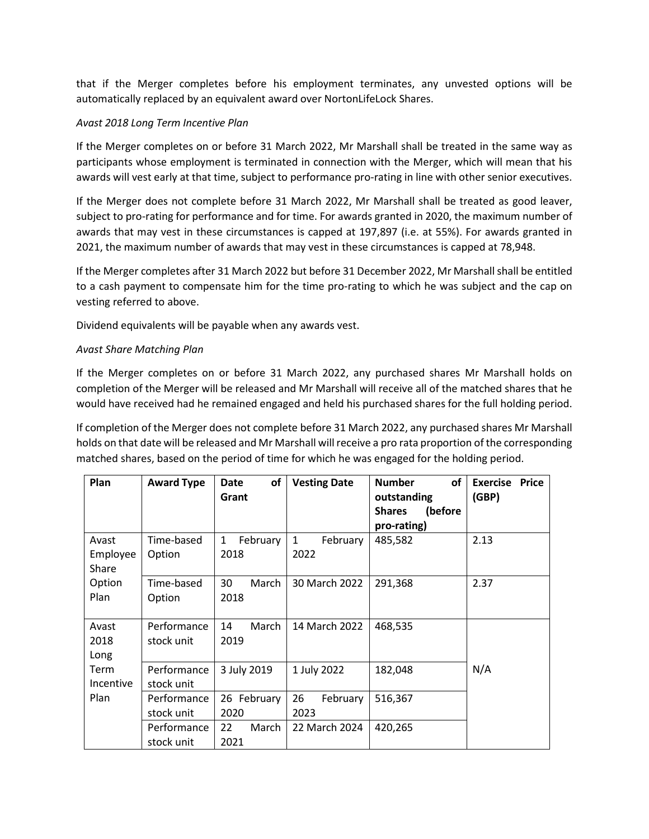that if the Merger completes before his employment terminates, any unvested options will be automatically replaced by an equivalent award over NortonLifeLock Shares.

# *Avast 2018 Long Term Incentive Plan*

If the Merger completes on or before 31 March 2022, Mr Marshall shall be treated in the same way as participants whose employment is terminated in connection with the Merger, which will mean that his awards will vest early at that time, subject to performance pro-rating in line with other senior executives.

If the Merger does not complete before 31 March 2022, Mr Marshall shall be treated as good leaver, subject to pro-rating for performance and for time. For awards granted in 2020, the maximum number of awards that may vest in these circumstances is capped at 197,897 (i.e. at 55%). For awards granted in 2021, the maximum number of awards that may vest in these circumstances is capped at 78,948.

If the Merger completes after 31 March 2022 but before 31 December 2022, Mr Marshall shall be entitled to a cash payment to compensate him for the time pro-rating to which he was subject and the cap on vesting referred to above.

Dividend equivalents will be payable when any awards vest.

## *Avast Share Matching Plan*

If the Merger completes on or before 31 March 2022, any purchased shares Mr Marshall holds on completion of the Merger will be released and Mr Marshall will receive all of the matched shares that he would have received had he remained engaged and held his purchased shares for the full holding period.

If completion of the Merger does not complete before 31 March 2022, any purchased shares Mr Marshall holds on that date will be released and Mr Marshall will receive a pro rata proportion of the corresponding matched shares, based on the period of time for which he was engaged for the holding period.

| Plan                       | <b>Award Type</b>         | οf<br><b>Date</b><br>Grant       | <b>Vesting Date</b>              | <b>Number</b><br>οf<br>outstanding<br><b>Shares</b><br>(before | <b>Exercise Price</b><br>(GBP) |
|----------------------------|---------------------------|----------------------------------|----------------------------------|----------------------------------------------------------------|--------------------------------|
|                            |                           |                                  |                                  | pro-rating)                                                    |                                |
| Avast<br>Employee<br>Share | Time-based<br>Option      | February<br>$\mathbf{1}$<br>2018 | $\mathbf{1}$<br>February<br>2022 | 485,582                                                        | 2.13                           |
| Option<br>Plan             | Time-based<br>Option      | 30<br>March<br>2018              | 30 March 2022                    | 291,368                                                        | 2.37                           |
| Avast<br>2018<br>Long      | Performance<br>stock unit | 14<br>March<br>2019              | 14 March 2022                    | 468,535                                                        |                                |
| Term<br>Incentive          | Performance<br>stock unit | 3 July 2019                      | 1 July 2022                      | 182,048                                                        | N/A                            |
| Plan                       | Performance<br>stock unit | 26 February<br>2020              | 26<br>February<br>2023           | 516,367                                                        |                                |
|                            | Performance<br>stock unit | 22<br>March<br>2021              | 22 March 2024                    | 420,265                                                        |                                |